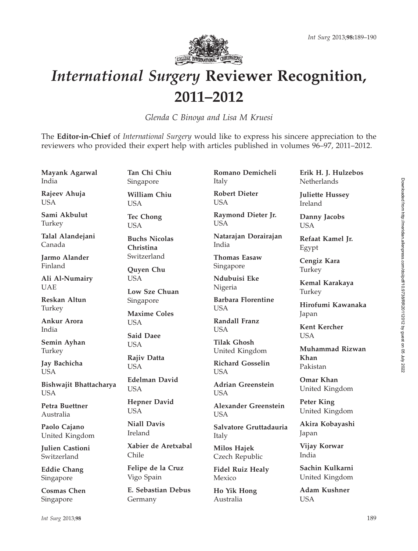

## International Surgery Reviewer Recognition, 2011–2012

Glenda C Binoya and Lisa M Kruesi

The Editor-in-Chief of *International Surgery* would like to express his sincere appreciation to the reviewers who provided their expert help with articles published in volumes 96–97, 2011–2012.

Mayank Agarwal India Rajeev Ahuja USA Sami Akbulut Turkey Talal Alandejani Canada Jarmo Alander Finland Ali Al-Numairy UAE Reskan Altun Turkey Ankur Arora India Semin Ayhan Turkey Jay Bachicha **USA** Bishwajit Bhattacharya **USA** Petra Buettner Australia Paolo Cajano United Kingdom Julien Castioni Switzerland Eddie Chang Singapore Cosmas Chen Singapore Tan Chi Chiu Singapore William Chiu USA Tec Chong USA Buchs Nicolas Christina Switzerland Quyen Chu **USA** Low Sze Chuan Singapore Maxime Coles **I** ISA Said Daee USA Rajiv Datta USA Edelman David **USA** Hepner David USA Niall Davis Ireland Xabier de Aretxabal Chile Felipe de la Cruz Vigo Spain E. Sebastian Debus Germany Romano Demicheli Italy Robert Dieter USA Raymond Dieter Jr. USA Natarajan Dorairajan India Thomas Easaw Singapore Ndubuisi Eke Nigeria Barbara Florentine USA Randall Franz **I** ISA Tilak Ghosh United Kingdom Richard Gosselin **USA** Adrian Greenstein **USA** Alexander Greenstein **I** ISA Salvatore Gruttadauria Italy Milos Hajek Czech Republic Fidel Ruiz Healy Mexico Ho Yik Hong Australia Erik H. J. Hulzebos **Netherlands** Juliette Hussey Ireland Danny Jacobs USA Refaat Kamel Jr. Egypt Cengiz Kara Turkey Kemal Karakaya Turkey Hirofumi Kawanaka Japan Kent Kercher **USA** Muhammad Rizwan Khan Pakistan Omar Khan United Kingdom Peter King United Kingdom Akira Kobayashi Japan Vijay Korwar India Sachin Kulkarni United Kingdom Adam Kushner **USA** Int Surg 2013;98 189